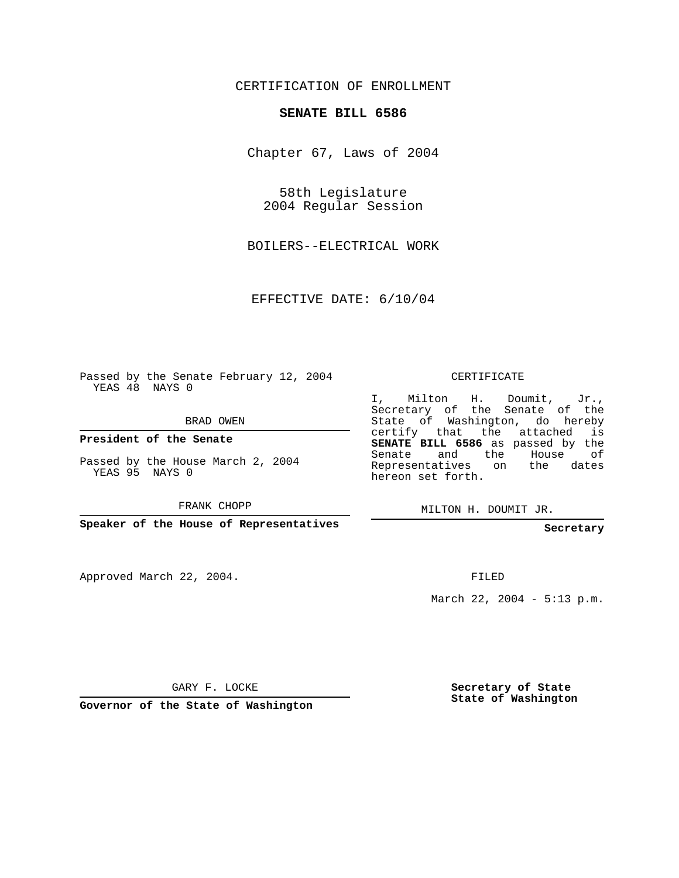## CERTIFICATION OF ENROLLMENT

## **SENATE BILL 6586**

Chapter 67, Laws of 2004

58th Legislature 2004 Regular Session

BOILERS--ELECTRICAL WORK

EFFECTIVE DATE: 6/10/04

Passed by the Senate February 12, 2004 YEAS 48 NAYS 0

BRAD OWEN

**President of the Senate**

Passed by the House March 2, 2004 YEAS 95 NAYS 0

FRANK CHOPP

**Speaker of the House of Representatives**

Approved March 22, 2004.

CERTIFICATE

I, Milton H. Doumit, Jr., Secretary of the Senate of the State of Washington, do hereby certify that the attached is **SENATE BILL 6586** as passed by the Senate and the House of Representatives on the dates hereon set forth.

MILTON H. DOUMIT JR.

**Secretary**

FILED

March 22, 2004 - 5:13 p.m.

GARY F. LOCKE

**Governor of the State of Washington**

**Secretary of State State of Washington**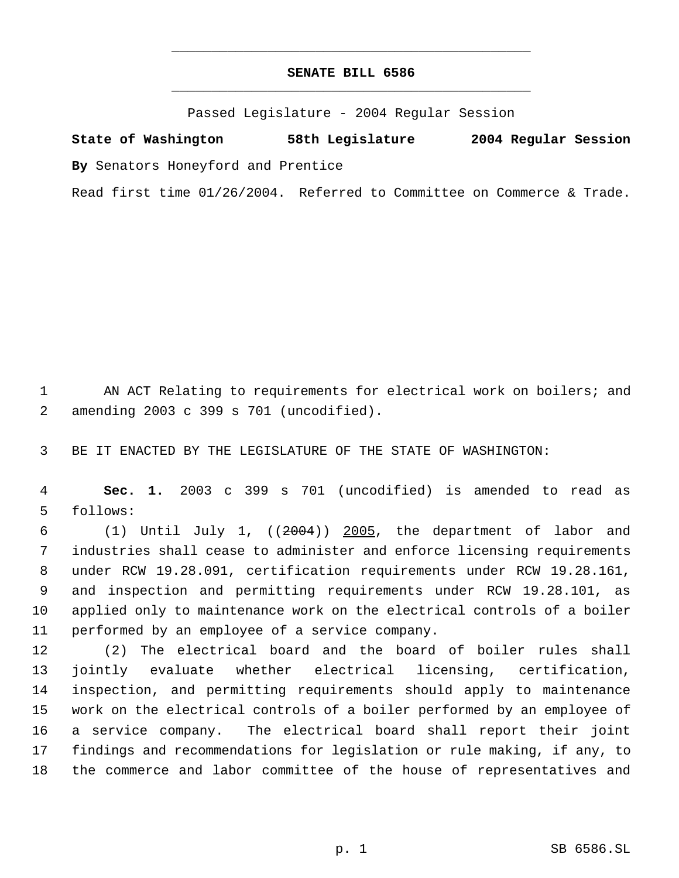## **SENATE BILL 6586** \_\_\_\_\_\_\_\_\_\_\_\_\_\_\_\_\_\_\_\_\_\_\_\_\_\_\_\_\_\_\_\_\_\_\_\_\_\_\_\_\_\_\_\_\_

\_\_\_\_\_\_\_\_\_\_\_\_\_\_\_\_\_\_\_\_\_\_\_\_\_\_\_\_\_\_\_\_\_\_\_\_\_\_\_\_\_\_\_\_\_

Passed Legislature - 2004 Regular Session

**State of Washington 58th Legislature 2004 Regular Session By** Senators Honeyford and Prentice

Read first time 01/26/2004. Referred to Committee on Commerce & Trade.

1 AN ACT Relating to requirements for electrical work on boilers; and amending 2003 c 399 s 701 (uncodified).

BE IT ENACTED BY THE LEGISLATURE OF THE STATE OF WASHINGTON:

 **Sec. 1.** 2003 c 399 s 701 (uncodified) is amended to read as follows:

 $(1)$  Until July 1,  $((2004))$  2005, the department of labor and industries shall cease to administer and enforce licensing requirements under RCW 19.28.091, certification requirements under RCW 19.28.161, and inspection and permitting requirements under RCW 19.28.101, as applied only to maintenance work on the electrical controls of a boiler performed by an employee of a service company.

 (2) The electrical board and the board of boiler rules shall jointly evaluate whether electrical licensing, certification, inspection, and permitting requirements should apply to maintenance work on the electrical controls of a boiler performed by an employee of a service company. The electrical board shall report their joint findings and recommendations for legislation or rule making, if any, to the commerce and labor committee of the house of representatives and